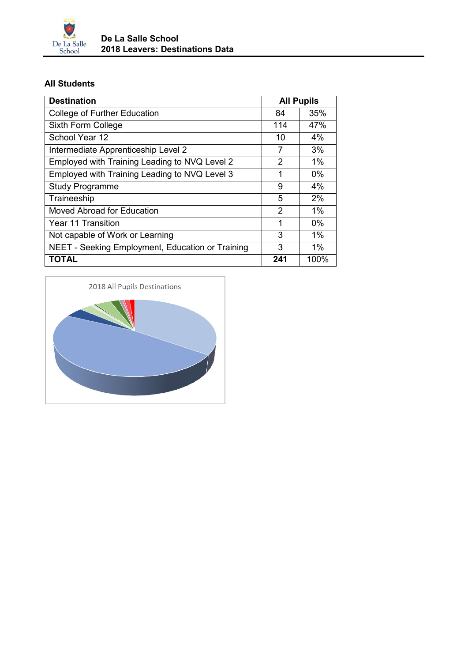

## **All Students**

| <b>Destination</b>                               | <b>All Pupils</b> |       |
|--------------------------------------------------|-------------------|-------|
| College of Further Education                     | 84                | 35%   |
| Sixth Form College                               | 114               | 47%   |
| School Year 12                                   | 10                | 4%    |
| Intermediate Apprenticeship Level 2              | 7                 | 3%    |
| Employed with Training Leading to NVQ Level 2    | 2                 | $1\%$ |
| Employed with Training Leading to NVQ Level 3    | 1                 | $0\%$ |
| <b>Study Programme</b>                           | 9                 | 4%    |
| Traineeship                                      | 5                 | 2%    |
| Moved Abroad for Education                       | $\overline{2}$    | $1\%$ |
| Year 11 Transition                               | 1                 | $0\%$ |
| Not capable of Work or Learning                  | 3                 | $1\%$ |
| NEET - Seeking Employment, Education or Training | 3                 | $1\%$ |
| <b>TOTAL</b>                                     | 241               | 100%  |

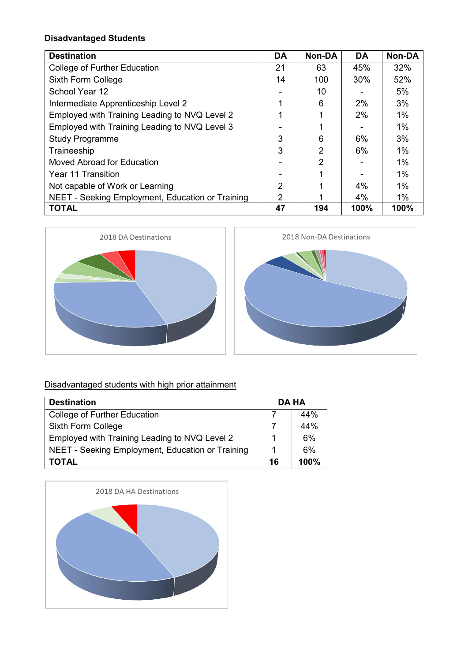## **Disadvantaged Students**

| <b>Destination</b>                               | <b>DA</b>      | Non-DA         | <b>DA</b> | <b>Non-DA</b> |
|--------------------------------------------------|----------------|----------------|-----------|---------------|
| College of Further Education                     | 21             | 63             | 45%       | 32%           |
| Sixth Form College                               | 14             | 100            | 30%       | 52%           |
| School Year 12                                   |                | 10             |           | 5%            |
| Intermediate Apprenticeship Level 2              | 1              | 6              | 2%        | 3%            |
| Employed with Training Leading to NVQ Level 2    |                |                | 2%        | 1%            |
| Employed with Training Leading to NVQ Level 3    |                |                |           | $1\%$         |
| <b>Study Programme</b>                           | 3              | 6              | 6%        | 3%            |
| Traineeship                                      | 3              | $\overline{2}$ | 6%        | $1\%$         |
| Moved Abroad for Education                       |                | 2              |           | $1\%$         |
| Year 11 Transition                               |                | 4              |           | $1\%$         |
| Not capable of Work or Learning                  | $\overline{2}$ |                | 4%        | $1\%$         |
| NEET - Seeking Employment, Education or Training | 2              |                | 4%        | $1\%$         |
| <b>TOTAL</b>                                     | 47             | 194            | 100%      | 100%          |





## Disadvantaged students with high prior attainment

| <b>Destination</b>                               | <b>DA HA</b> |      |
|--------------------------------------------------|--------------|------|
| <b>College of Further Education</b>              |              | 44%  |
| Sixth Form College                               |              | 44%  |
| Employed with Training Leading to NVQ Level 2    |              | 6%   |
| NEET - Seeking Employment, Education or Training |              | 6%   |
| <b>TOTAL</b>                                     | 16           | 100% |